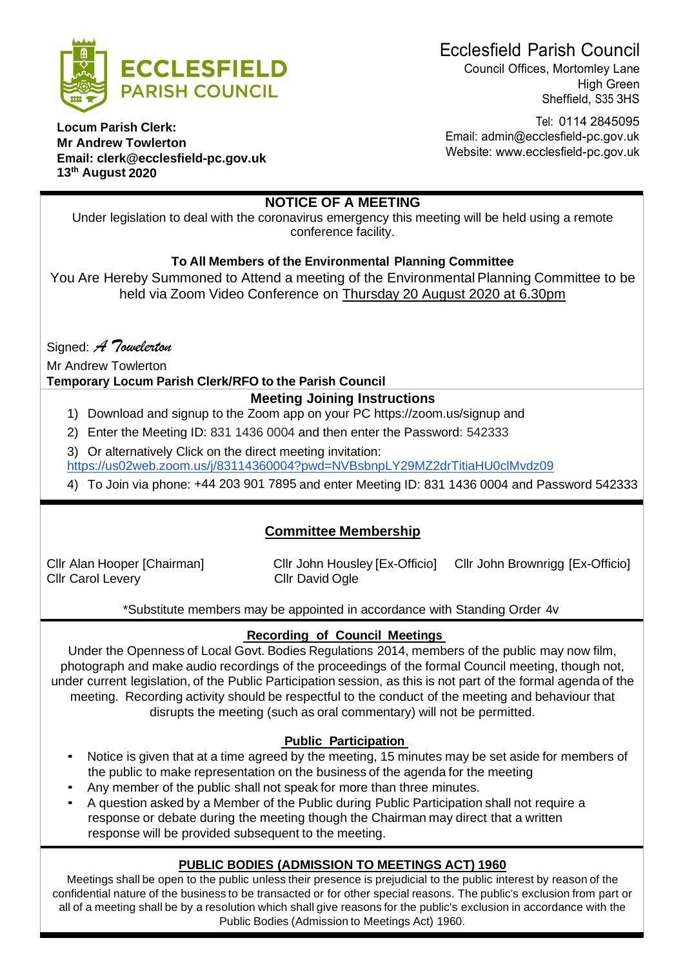

Ecclesfield Parish Council

Council Offices, Mortomley Lane High Green Sheffield, S35 3HS

Tel: 0114 2845095 Email: [admin@ecclesfield-pc.gov.uk](mailto:admin@ecclesfield-pc.gov.uk) Website: [www.ecclesfield-pc.gov.uk](http://www.ecclesfield-pc.gov.uk/)

**Locum Parish Clerk: Mr Andrew Towlerton Email: [clerk@ecclesfield-pc.gov.uk](mailto:clerk@ecclesfield-pc.gov.uk) 13th August 2020**

# **NOTICE OF A MEETING**

Under legislation to deal with the coronavirus emergency this meeting will be held using a remote conference facility.

# **To All Members of the Environmental Planning Committee**

You Are Hereby Summoned to Attend a meeting of the Environmental Planning Committee to be held via Zoom Video Conference on Thursday 20 August 2020 at 6.30pm

Signed: *A Towelerton*

Mr Andrew Towlerton

# **Temporary Locum Parish Clerk/RFO to the Parish Council**

# **Meeting Joining Instructions**

- 1) Download and signup to the Zoom app on your PC https://zoom.us/signup and
- 2) Enter the Meeting ID: 831 1436 0004 and then enter the Password: 542333
- 3) Or alternatively Click on the direct meeting invitation:

<https://us02web.zoom.us/j/83114360004?pwd=NVBsbnpLY29MZ2drTitiaHU0clMvdz09>

4) To Join via phone: [+44 203 901 7895](tel:+442039017895) and enter Meeting ID: 831 1436 0004 and Password 542333

# **Committee Membership**

Cllr Carol Levery Cllr David Ogle

Cllr Alan Hooper [Chairman] Cllr John Housley [Ex-Officio] Cllr John Brownrigg [Ex-Officio]

\*Substitute members may be appointed in accordance with Standing Order 4v

# **Recording of Council Meetings**

Under the Openness of Local Govt. Bodies Regulations 2014, members of the public may now film, photograph and make audio recordings of the proceedings of the formal Council meeting, though not, under current legislation, of the Public Participation session, as this is not part of the formal agenda of the meeting. Recording activity should be respectful to the conduct of the meeting and behaviour that disrupts the meeting (such as oral commentary) will not be permitted.

# **Public Participation**

- Notice is given that at a time agreed by the meeting, 15 minutes may be set aside for members of the public to make representation on the business of the agenda for the meeting
- Any member of the public shall not speak for more than three minutes.
- A question asked by a Member of the Public during Public Participation shall not require a response or debate during the meeting though the Chairman may direct that a written response will be provided subsequent to the meeting.

# **PUBLIC BODIES (ADMISSION TO MEETINGS ACT) 1960**

Meetings shall be open to the public unless their presence is prejudicial to the public interest by reason of the confidential nature of the business to be transacted or for other special reasons. The public's exclusion from part or all of a meeting shall be by a resolution which shall give reasons for the public's exclusion in accordance with the Public Bodies (Admission to Meetings Act) 1960.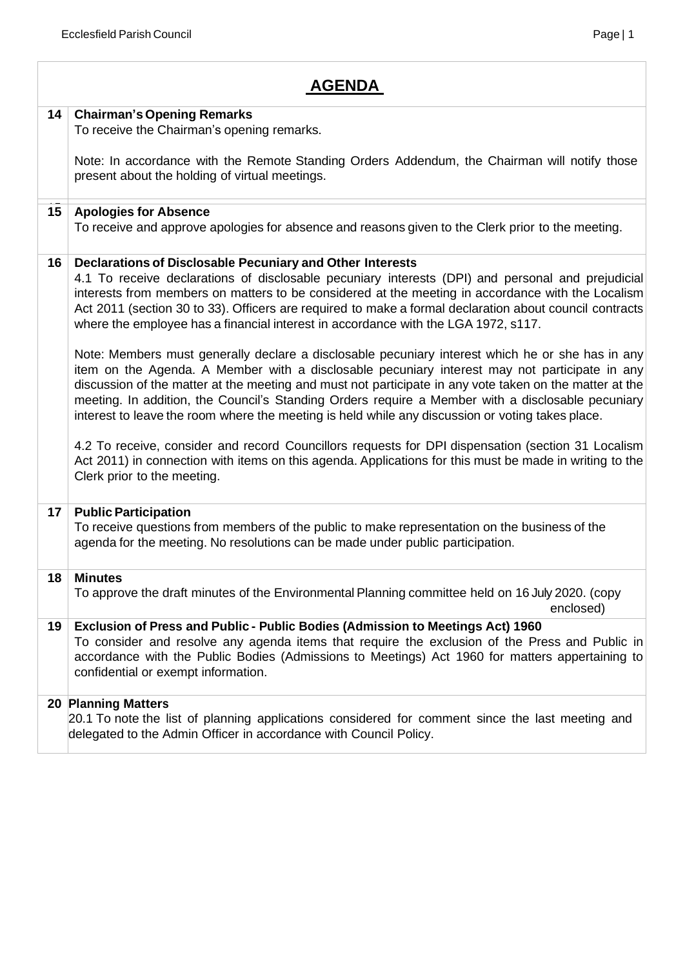### **14 Chairman'sOpening Remarks**

To receive the Chairman's opening remarks.

Note: In accordance with the Remote Standing Orders Addendum, the Chairman will notify those present about the holding of virtual meetings.

### 15**15 Apologies for Absence**

To receive and approve apologies for absence and reasons given to the Clerk prior to the meeting.

### **16 Declarations of Disclosable Pecuniary and Other Interests**

4.1 To receive declarations of disclosable pecuniary interests (DPI) and personal and prejudicial interests from members on matters to be considered at the meeting in accordance with the Localism Act 2011 (section 30 to 33). Officers are required to make a formal declaration about council contracts where the employee has a financial interest in accordance with the LGA 1972, s117.

Note: Members must generally declare a disclosable pecuniary interest which he or she has in any item on the Agenda. A Member with a disclosable pecuniary interest may not participate in any discussion of the matter at the meeting and must not participate in any vote taken on the matter at the meeting. In addition, the Council's Standing Orders require a Member with a disclosable pecuniary interest to leave the room where the meeting is held while any discussion or voting takes place.

4.2 To receive, consider and record Councillors requests for DPI dispensation (section 31 Localism Act 2011) in connection with items on this agenda. Applications for this must be made in writing to the Clerk prior to the meeting.

### **17 Public Participation**

To receive questions from members of the public to make representation on the business of the agenda for the meeting. No resolutions can be made under public participation.

### **18 Minutes**

To approve the draft minutes of the Environmental Planning committee held on 16 July 2020. (copy enclosed)

### **19 Exclusion of Press and Public - Public Bodies (Admission to Meetings Act) 1960** To consider and resolve any agenda items that require the exclusion of the Press and Public in accordance with the Public Bodies (Admissions to Meetings) Act 1960 for matters appertaining to confidential or exempt information.

### **20 Planning Matters**

20.1 To note the list of planning applications considered for comment since the last meeting and delegated to the Admin Officer in accordance with Council Policy.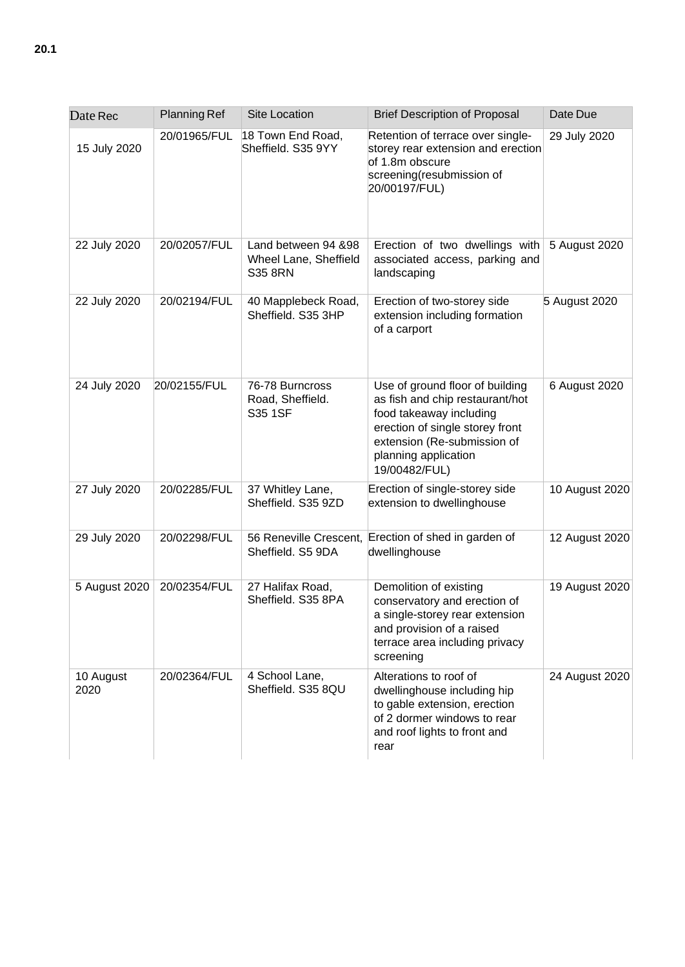| Date Rec          | <b>Planning Ref</b> | Site Location                                                  | <b>Brief Description of Proposal</b>                                                                                                                                                                     | Date Due       |
|-------------------|---------------------|----------------------------------------------------------------|----------------------------------------------------------------------------------------------------------------------------------------------------------------------------------------------------------|----------------|
| 15 July 2020      | 20/01965/FUL        | 18 Town End Road,<br>Sheffield. S35 9YY                        | Retention of terrace over single-<br>storey rear extension and erection<br>of 1.8m obscure<br>screening(resubmission of<br>20/00197/FUL)                                                                 | 29 July 2020   |
| 22 July 2020      | 20/02057/FUL        | Land between 94 &98<br>Wheel Lane, Sheffield<br><b>S35 8RN</b> | Erection of two dwellings with $5$ August 2020<br>associated access, parking and<br>landscaping                                                                                                          |                |
| 22 July 2020      | 20/02194/FUL        | 40 Mapplebeck Road,<br>Sheffield. S35 3HP                      | Erection of two-storey side<br>extension including formation<br>of a carport                                                                                                                             | 5 August 2020  |
| 24 July 2020      | 20/02155/FUL        | 76-78 Burncross<br>Road, Sheffield.<br>S35 1SF                 | Use of ground floor of building<br>as fish and chip restaurant/hot<br>food takeaway including<br>erection of single storey front<br>extension (Re-submission of<br>planning application<br>19/00482/FUL) | 6 August 2020  |
| 27 July 2020      | 20/02285/FUL        | 37 Whitley Lane,<br>Sheffield. S35 9ZD                         | Erection of single-storey side<br>extension to dwellinghouse                                                                                                                                             | 10 August 2020 |
| 29 July 2020      | 20/02298/FUL        | 56 Reneville Crescent,<br>Sheffield. S5 9DA                    | Erection of shed in garden of<br>dwellinghouse                                                                                                                                                           | 12 August 2020 |
| 5 August 2020     | 20/02354/FUL        | 27 Halifax Road,<br>Sheffield. S35 8PA                         | Demolition of existing<br>conservatory and erection of<br>a single-storey rear extension<br>and provision of a raised<br>terrace area including privacy<br>screening                                     | 19 August 2020 |
| 10 August<br>2020 | 20/02364/FUL        | 4 School Lane,<br>Sheffield. S35 8QU                           | Alterations to roof of<br>dwellinghouse including hip<br>to gable extension, erection<br>of 2 dormer windows to rear<br>and roof lights to front and<br>rear                                             | 24 August 2020 |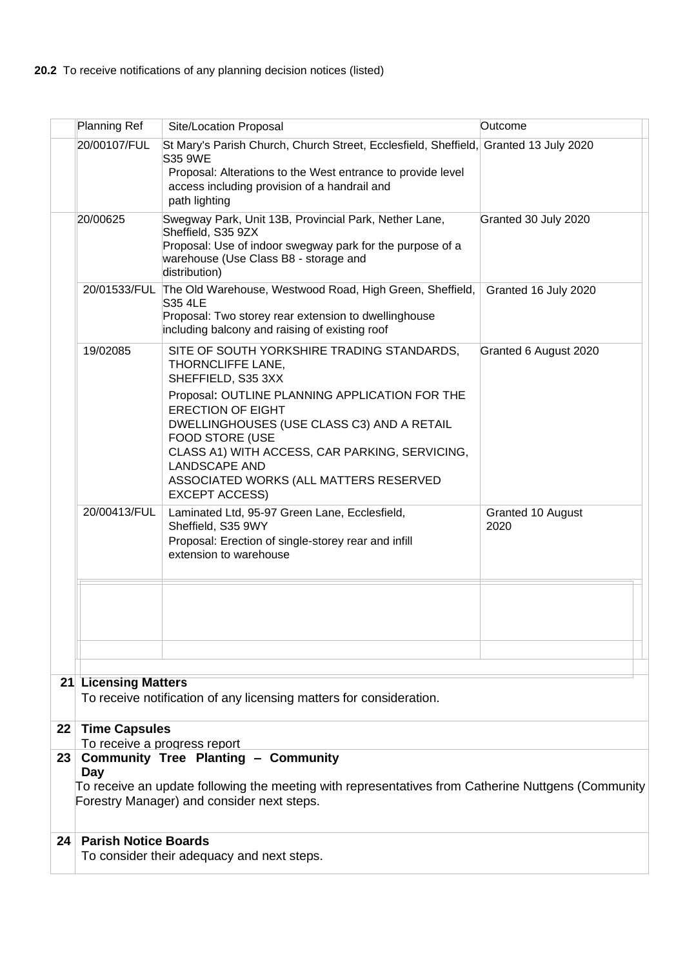|          | Planning Ref                                                                                                                                                                                                                          | Site/Location Proposal                                                                                                                                                                                                                                                                                                                                                                   | Outcome                   |  |  |  |
|----------|---------------------------------------------------------------------------------------------------------------------------------------------------------------------------------------------------------------------------------------|------------------------------------------------------------------------------------------------------------------------------------------------------------------------------------------------------------------------------------------------------------------------------------------------------------------------------------------------------------------------------------------|---------------------------|--|--|--|
|          | 20/00107/FUL                                                                                                                                                                                                                          | St Mary's Parish Church, Church Street, Ecclesfield, Sheffield, Granted 13 July 2020<br>S35 9WE<br>Proposal: Alterations to the West entrance to provide level<br>access including provision of a handrail and<br>path lighting                                                                                                                                                          |                           |  |  |  |
| 20/00625 |                                                                                                                                                                                                                                       | Swegway Park, Unit 13B, Provincial Park, Nether Lane,<br>Sheffield, S35 9ZX<br>Proposal: Use of indoor swegway park for the purpose of a<br>warehouse (Use Class B8 - storage and<br>distribution)                                                                                                                                                                                       | Granted 30 July 2020      |  |  |  |
|          | 20/01533/FUL                                                                                                                                                                                                                          | The Old Warehouse, Westwood Road, High Green, Sheffield,<br><b>S35 4LE</b><br>Proposal: Two storey rear extension to dwellinghouse<br>including balcony and raising of existing roof                                                                                                                                                                                                     | Granted 16 July 2020      |  |  |  |
|          | 19/02085                                                                                                                                                                                                                              | SITE OF SOUTH YORKSHIRE TRADING STANDARDS,<br>THORNCLIFFE LANE,<br>SHEFFIELD, S35 3XX<br>Proposal: OUTLINE PLANNING APPLICATION FOR THE<br><b>ERECTION OF EIGHT</b><br>DWELLINGHOUSES (USE CLASS C3) AND A RETAIL<br><b>FOOD STORE (USE</b><br>CLASS A1) WITH ACCESS, CAR PARKING, SERVICING,<br><b>LANDSCAPE AND</b><br>ASSOCIATED WORKS (ALL MATTERS RESERVED<br><b>EXCEPT ACCESS)</b> | Granted 6 August 2020     |  |  |  |
|          | 20/00413/FUL                                                                                                                                                                                                                          | Laminated Ltd, 95-97 Green Lane, Ecclesfield,<br>Sheffield, S35 9WY<br>Proposal: Erection of single-storey rear and infill<br>extension to warehouse                                                                                                                                                                                                                                     | Granted 10 August<br>2020 |  |  |  |
|          |                                                                                                                                                                                                                                       |                                                                                                                                                                                                                                                                                                                                                                                          |                           |  |  |  |
|          |                                                                                                                                                                                                                                       |                                                                                                                                                                                                                                                                                                                                                                                          |                           |  |  |  |
|          | <b>21 Licensing Matters</b><br>To receive notification of any licensing matters for consideration.                                                                                                                                    |                                                                                                                                                                                                                                                                                                                                                                                          |                           |  |  |  |
| 22       | <b>Time Capsules</b>                                                                                                                                                                                                                  |                                                                                                                                                                                                                                                                                                                                                                                          |                           |  |  |  |
| 23       | To receive a progress report<br><b>Community Tree Planting - Community</b><br>Day<br>To receive an update following the meeting with representatives from Catherine Nuttgens (Community<br>Forestry Manager) and consider next steps. |                                                                                                                                                                                                                                                                                                                                                                                          |                           |  |  |  |
| 24       | <b>Parish Notice Boards</b>                                                                                                                                                                                                           | To consider their adequacy and next steps.                                                                                                                                                                                                                                                                                                                                               |                           |  |  |  |